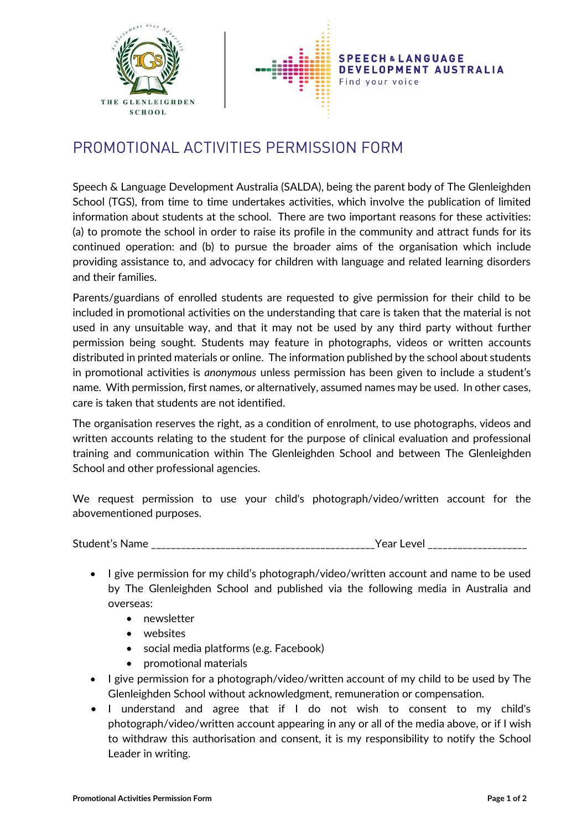



## PROMOTIONAL ACTIVITIES PERMISSION FORM

Speech & Language Development Australia (SALDA), being the parent body of The Glenleighden School (TGS), from time to time undertakes activities, which involve the publication of limited information about students at the school. There are two important reasons for these activities: (a) to promote the school in order to raise its profile in the community and attract funds for its continued operation: and (b) to pursue the broader aims of the organisation which include providing assistance to, and advocacy for children with language and related learning disorders and their families.

Parents/guardians of enrolled students are requested to give permission for their child to be included in promotional activities on the understanding that care is taken that the material is not used in any unsuitable way, and that it may not be used by any third party without further permission being sought. Students may feature in photographs, videos or written accounts distributed in printed materials or online. The information published by the school about students in promotional activities is *anonymous* unless permission has been given to include a student's name. With permission, first names, or alternatively, assumed names may be used. In other cases, care is taken that students are not identified.

The organisation reserves the right, as a condition of enrolment, to use photographs, videos and written accounts relating to the student for the purpose of clinical evaluation and professional training and communication within The Glenleighden School and between The Glenleighden School and other professional agencies.

We request permission to use your child's photograph/video/written account for the abovementioned purposes.

Student's Name \_\_\_\_\_\_\_\_\_\_\_\_\_\_\_\_\_\_\_\_\_\_\_\_\_\_\_\_\_\_\_\_\_\_\_\_\_\_\_\_\_\_\_\_\_Year Level \_\_\_\_\_\_\_\_\_\_\_\_\_\_\_\_\_\_\_\_

- I give permission for my child's photograph/video/written account and name to be used by The Glenleighden School and published via the following media in Australia and overseas:
	- newsletter
	- websites
	- social media platforms (e.g. Facebook)
	- promotional materials
- I give permission for a photograph/video/written account of my child to be used by The Glenleighden School without acknowledgment, remuneration or compensation.
- I understand and agree that if I do not wish to consent to my child's photograph/video/written account appearing in any or all of the media above, or if I wish to withdraw this authorisation and consent, it is my responsibility to notify the School Leader in writing.